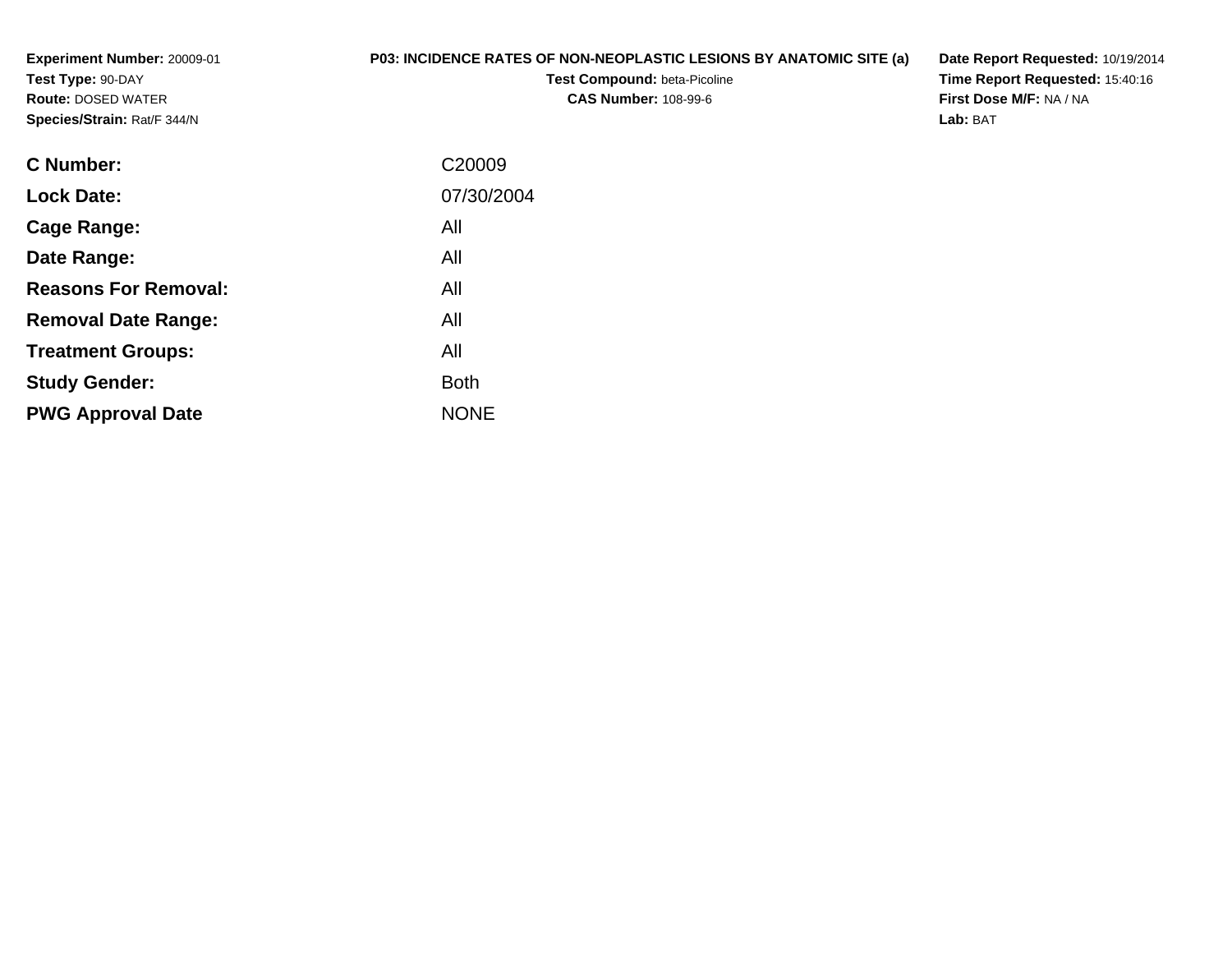**Experiment Number:** 20009-01**Test Type:** 90-DAY **Route:** DOSED WATER**Species/Strain:** Rat/F 344/N

## **P03: INCIDENCE RATES OF NON-NEOPLASTIC LESIONS BY ANATOMIC SITE (a)**

**Test Compound:** beta-Picoline**CAS Number:** 108-99-6

**Date Report Requested:** 10/19/2014 **Time Report Requested:** 15:40:16**First Dose M/F:** NA / NA**Lab:** BAT

| <b>C</b> Number:            | C <sub>20009</sub> |
|-----------------------------|--------------------|
| <b>Lock Date:</b>           | 07/30/2004         |
| Cage Range:                 | All                |
| Date Range:                 | All                |
| <b>Reasons For Removal:</b> | All                |
| <b>Removal Date Range:</b>  | All                |
| <b>Treatment Groups:</b>    | All                |
| <b>Study Gender:</b>        | <b>Both</b>        |
| <b>PWG Approval Date</b>    | <b>NONE</b>        |
|                             |                    |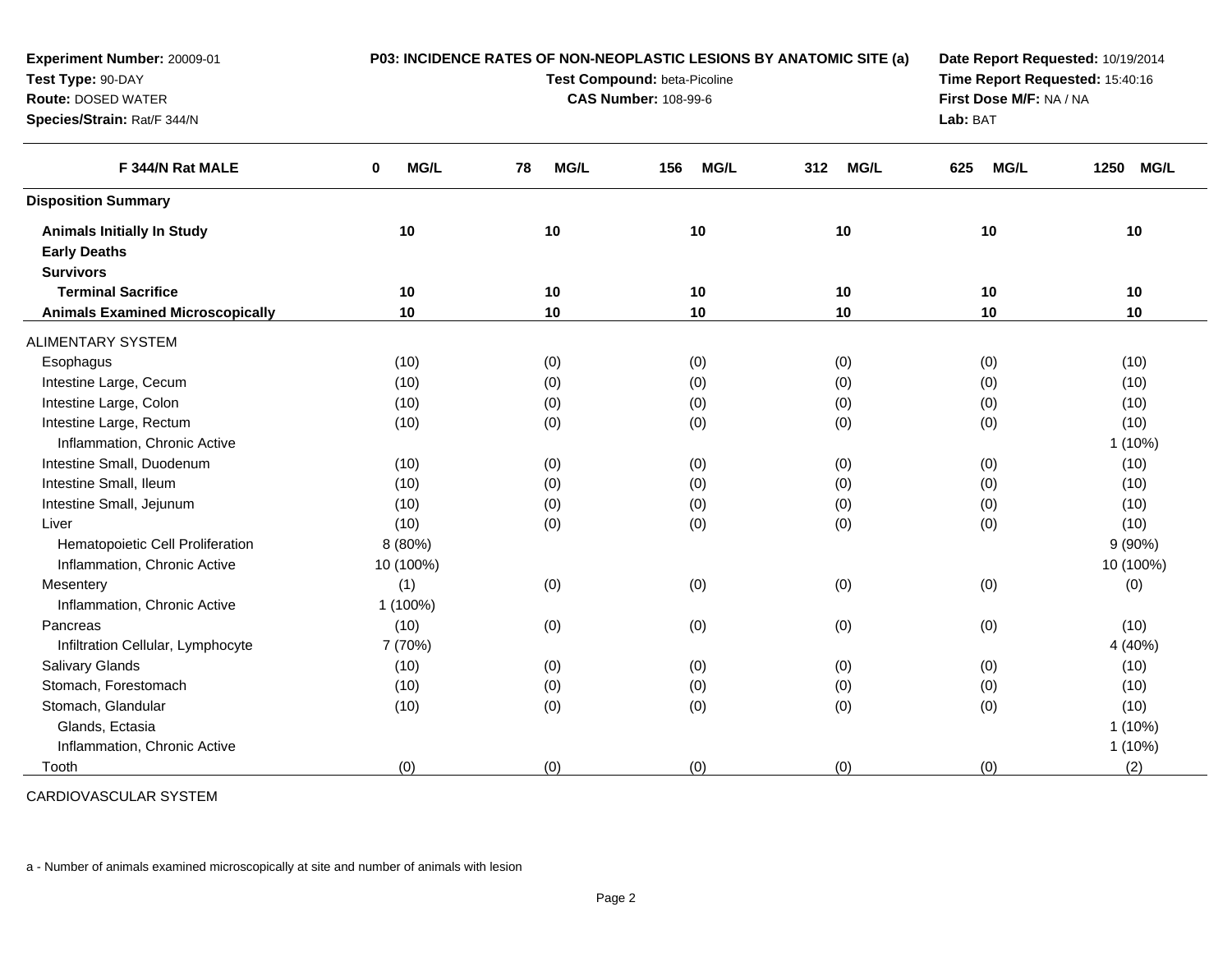| Experiment Number: 20009-01             | P03: INCIDENCE RATES OF NON-NEOPLASTIC LESIONS BY ANATOMIC SITE (a) |                              |                                 |                    |                         | Date Report Requested: 10/19/2014 |  |  |
|-----------------------------------------|---------------------------------------------------------------------|------------------------------|---------------------------------|--------------------|-------------------------|-----------------------------------|--|--|
| Test Type: 90-DAY                       |                                                                     | Test Compound: beta-Picoline | Time Report Requested: 15:40:16 |                    |                         |                                   |  |  |
| <b>Route: DOSED WATER</b>               |                                                                     |                              | <b>CAS Number: 108-99-6</b>     |                    | First Dose M/F: NA / NA |                                   |  |  |
| Species/Strain: Rat/F 344/N             |                                                                     |                              |                                 |                    | Lab: BAT                |                                   |  |  |
| F 344/N Rat MALE                        | MG/L<br>0                                                           | MG/L<br>78                   | 156<br><b>MG/L</b>              | <b>MG/L</b><br>312 | 625<br>MG/L             | <b>MG/L</b><br>1250               |  |  |
| <b>Disposition Summary</b>              |                                                                     |                              |                                 |                    |                         |                                   |  |  |
| <b>Animals Initially In Study</b>       | 10                                                                  | 10                           | 10                              | 10                 | 10                      | 10                                |  |  |
| <b>Early Deaths</b>                     |                                                                     |                              |                                 |                    |                         |                                   |  |  |
| <b>Survivors</b>                        |                                                                     |                              |                                 |                    |                         |                                   |  |  |
| <b>Terminal Sacrifice</b>               | 10                                                                  | 10                           | 10                              | 10                 | 10                      | 10                                |  |  |
| <b>Animals Examined Microscopically</b> | 10                                                                  | 10                           | 10                              | 10                 | 10                      | 10                                |  |  |
| <b>ALIMENTARY SYSTEM</b>                |                                                                     |                              |                                 |                    |                         |                                   |  |  |
| Esophagus                               | (10)                                                                | (0)                          | (0)                             | (0)                | (0)                     | (10)                              |  |  |
| Intestine Large, Cecum                  | (10)                                                                | (0)                          | (0)                             | (0)                | (0)                     | (10)                              |  |  |
| Intestine Large, Colon                  | (10)                                                                | (0)                          | (0)                             | (0)                | (0)                     | (10)                              |  |  |
| Intestine Large, Rectum                 | (10)                                                                | (0)                          | (0)                             | (0)                | (0)                     | (10)                              |  |  |
| Inflammation, Chronic Active            |                                                                     |                              |                                 |                    |                         | 1 (10%)                           |  |  |
| Intestine Small, Duodenum               | (10)                                                                | (0)                          | (0)                             | (0)                | (0)                     | (10)                              |  |  |
| Intestine Small, Ileum                  | (10)                                                                | (0)                          | (0)                             | (0)                | (0)                     | (10)                              |  |  |
| Intestine Small, Jejunum                | (10)                                                                | (0)                          | (0)                             | (0)                | (0)                     | (10)                              |  |  |
| Liver                                   | (10)                                                                | (0)                          | (0)                             | (0)                | (0)                     | (10)                              |  |  |
| Hematopoietic Cell Proliferation        | 8(80%)                                                              |                              |                                 |                    |                         | 9(90%)                            |  |  |
| Inflammation, Chronic Active            | 10 (100%)                                                           |                              |                                 |                    |                         | 10 (100%)                         |  |  |
| Mesentery                               | (1)                                                                 | (0)                          | (0)                             | (0)                | (0)                     | (0)                               |  |  |
| Inflammation, Chronic Active            | 1 (100%)                                                            |                              |                                 |                    |                         |                                   |  |  |
| Pancreas                                | (10)                                                                | (0)                          | (0)                             | (0)                | (0)                     | (10)                              |  |  |
| Infiltration Cellular, Lymphocyte       | 7 (70%)                                                             |                              |                                 |                    |                         | 4 (40%)                           |  |  |
| Salivary Glands                         | (10)                                                                | (0)                          | (0)                             | (0)                | (0)                     | (10)                              |  |  |
| Stomach, Forestomach                    | (10)                                                                | (0)                          | (0)                             | (0)                | (0)                     | (10)                              |  |  |
| Stomach, Glandular                      | (10)                                                                | (0)                          | (0)                             | (0)                | (0)                     | (10)                              |  |  |
| Glands, Ectasia                         |                                                                     |                              |                                 |                    |                         | 1 (10%)                           |  |  |
| Inflammation, Chronic Active            |                                                                     |                              |                                 |                    |                         | 1 (10%)                           |  |  |
| Tooth                                   | (0)                                                                 | (0)                          | (0)                             | (0)                | (0)                     | (2)                               |  |  |

CARDIOVASCULAR SYSTEM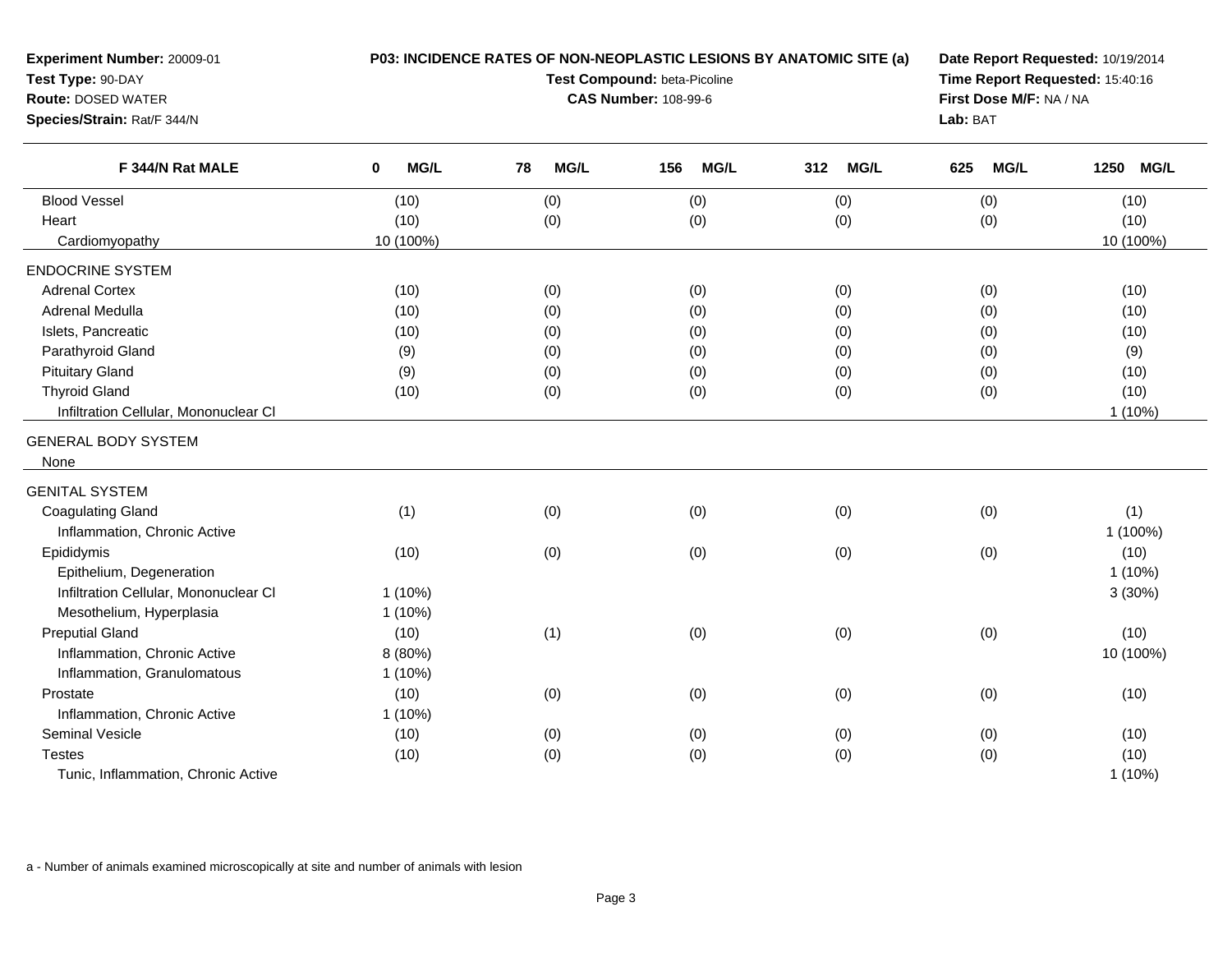| Experiment Number: 20009-01<br>Test Type: 90-DAY<br><b>Route: DOSED WATER</b><br>Species/Strain: Rat/F 344/N | P03: INCIDENCE RATES OF NON-NEOPLASTIC LESIONS BY ANATOMIC SITE (a)<br>Test Compound: beta-Picoline<br><b>CAS Number: 108-99-6</b> |            |                    |                    | Date Report Requested: 10/19/2014<br>Time Report Requested: 15:40:16<br>First Dose M/F: NA / NA<br>Lab: BAT |           |
|--------------------------------------------------------------------------------------------------------------|------------------------------------------------------------------------------------------------------------------------------------|------------|--------------------|--------------------|-------------------------------------------------------------------------------------------------------------|-----------|
| F 344/N Rat MALE                                                                                             | $\mathbf 0$<br><b>MG/L</b>                                                                                                         | MG/L<br>78 | <b>MG/L</b><br>156 | 312<br><b>MG/L</b> | 625<br><b>MG/L</b>                                                                                          | 1250 MG/L |
| <b>Blood Vessel</b>                                                                                          | (10)                                                                                                                               | (0)        | (0)                | (0)                | (0)                                                                                                         | (10)      |
| Heart                                                                                                        | (10)                                                                                                                               | (0)        | (0)                | (0)                | (0)                                                                                                         | (10)      |
| Cardiomyopathy                                                                                               | 10 (100%)                                                                                                                          |            |                    |                    |                                                                                                             | 10 (100%) |
| <b>ENDOCRINE SYSTEM</b>                                                                                      |                                                                                                                                    |            |                    |                    |                                                                                                             |           |
| <b>Adrenal Cortex</b>                                                                                        | (10)                                                                                                                               | (0)        | (0)                | (0)                | (0)                                                                                                         | (10)      |
| Adrenal Medulla                                                                                              | (10)                                                                                                                               | (0)        | (0)                | (0)                | (0)                                                                                                         | (10)      |
| Islets, Pancreatic                                                                                           | (10)                                                                                                                               | (0)        | (0)                | (0)                | (0)                                                                                                         | (10)      |
| Parathyroid Gland                                                                                            | (9)                                                                                                                                | (0)        | (0)                | (0)                | (0)                                                                                                         | (9)       |
| <b>Pituitary Gland</b>                                                                                       | (9)                                                                                                                                | (0)        | (0)                | (0)                | (0)                                                                                                         | (10)      |
| <b>Thyroid Gland</b>                                                                                         | (10)                                                                                                                               | (0)        | (0)                | (0)                | (0)                                                                                                         | (10)      |
| Infiltration Cellular, Mononuclear CI                                                                        |                                                                                                                                    |            |                    |                    |                                                                                                             | $1(10\%)$ |
| <b>GENERAL BODY SYSTEM</b>                                                                                   |                                                                                                                                    |            |                    |                    |                                                                                                             |           |
| None                                                                                                         |                                                                                                                                    |            |                    |                    |                                                                                                             |           |
| <b>GENITAL SYSTEM</b>                                                                                        |                                                                                                                                    |            |                    |                    |                                                                                                             |           |
| <b>Coagulating Gland</b>                                                                                     | (1)                                                                                                                                | (0)        | (0)                | (0)                | (0)                                                                                                         | (1)       |
| Inflammation, Chronic Active                                                                                 |                                                                                                                                    |            |                    |                    |                                                                                                             | 1 (100%)  |
| Epididymis                                                                                                   | (10)                                                                                                                               | (0)        | (0)                | (0)                | (0)                                                                                                         | (10)      |
| Epithelium, Degeneration                                                                                     |                                                                                                                                    |            |                    |                    |                                                                                                             | $1(10\%)$ |
| Infiltration Cellular, Mononuclear CI                                                                        | $1(10\%)$                                                                                                                          |            |                    |                    |                                                                                                             | 3(30%)    |
| Mesothelium, Hyperplasia                                                                                     | $1(10\%)$                                                                                                                          |            |                    |                    |                                                                                                             |           |
| <b>Preputial Gland</b>                                                                                       | (10)                                                                                                                               | (1)        | (0)                | (0)                | (0)                                                                                                         | (10)      |
| Inflammation, Chronic Active                                                                                 | 8 (80%)                                                                                                                            |            |                    |                    |                                                                                                             | 10 (100%) |
| Inflammation, Granulomatous                                                                                  | $1(10\%)$                                                                                                                          |            |                    |                    |                                                                                                             |           |
| Prostate                                                                                                     | (10)                                                                                                                               | (0)        | (0)                | (0)                | (0)                                                                                                         | (10)      |
| Inflammation, Chronic Active                                                                                 | $1(10\%)$                                                                                                                          |            |                    |                    |                                                                                                             |           |
| Seminal Vesicle                                                                                              | (10)                                                                                                                               | (0)        | (0)                | (0)                | (0)                                                                                                         | (10)      |
| Testes                                                                                                       | (10)                                                                                                                               | (0)        | (0)                | (0)                | (0)                                                                                                         | (10)      |
| Tunic, Inflammation, Chronic Active                                                                          |                                                                                                                                    |            |                    |                    |                                                                                                             | $1(10\%)$ |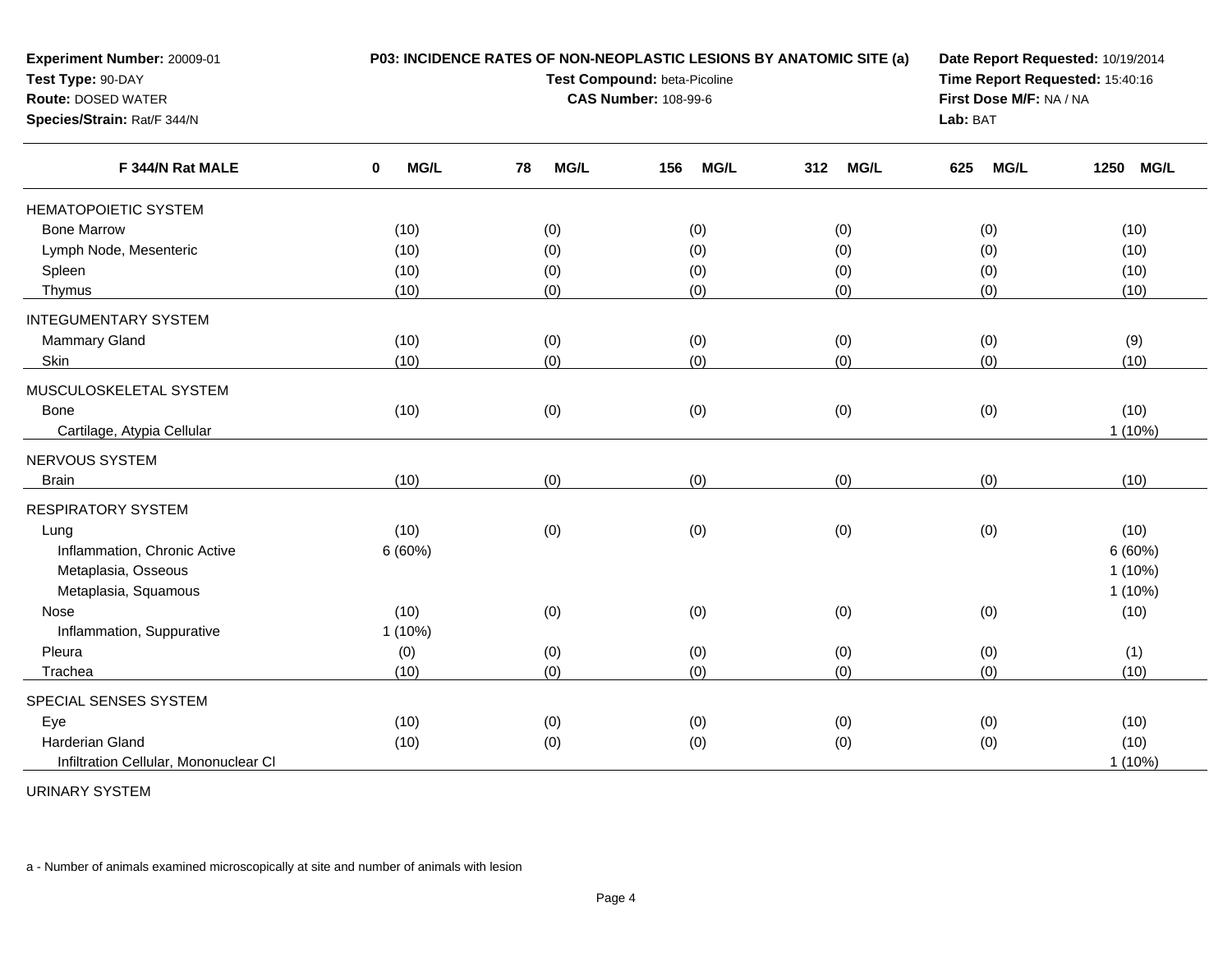| Experiment Number: 20009-01<br>Test Type: 90-DAY<br><b>Route: DOSED WATER</b><br>Species/Strain: Rat/F 344/N | P03: INCIDENCE RATES OF NON-NEOPLASTIC LESIONS BY ANATOMIC SITE (a)<br>Test Compound: beta-Picoline<br><b>CAS Number: 108-99-6</b> |            |                    |             | Date Report Requested: 10/19/2014<br>Time Report Requested: 15:40:16<br>First Dose M/F: NA / NA<br>Lab: BAT |                     |
|--------------------------------------------------------------------------------------------------------------|------------------------------------------------------------------------------------------------------------------------------------|------------|--------------------|-------------|-------------------------------------------------------------------------------------------------------------|---------------------|
| F 344/N Rat MALE                                                                                             | MG/L<br>0                                                                                                                          | MG/L<br>78 | 156<br><b>MG/L</b> | 312<br>MG/L | 625<br><b>MG/L</b>                                                                                          | 1250<br><b>MG/L</b> |
| <b>HEMATOPOIETIC SYSTEM</b>                                                                                  |                                                                                                                                    |            |                    |             |                                                                                                             |                     |
| <b>Bone Marrow</b>                                                                                           | (10)                                                                                                                               | (0)        | (0)                | (0)         | (0)                                                                                                         | (10)                |
| Lymph Node, Mesenteric                                                                                       | (10)                                                                                                                               | (0)        | (0)                | (0)         | (0)                                                                                                         | (10)                |
| Spleen                                                                                                       | (10)                                                                                                                               | (0)        | (0)                | (0)         | (0)                                                                                                         | (10)                |
| Thymus                                                                                                       | (10)                                                                                                                               | (0)        | (0)                | (0)         | (0)                                                                                                         | (10)                |
| <b>INTEGUMENTARY SYSTEM</b>                                                                                  |                                                                                                                                    |            |                    |             |                                                                                                             |                     |
| Mammary Gland                                                                                                | (10)                                                                                                                               | (0)        | (0)                | (0)         | (0)                                                                                                         | (9)                 |
| Skin                                                                                                         | (10)                                                                                                                               | (0)        | (0)                | (0)         | (0)                                                                                                         | (10)                |
| MUSCULOSKELETAL SYSTEM                                                                                       |                                                                                                                                    |            |                    |             |                                                                                                             |                     |
| <b>Bone</b>                                                                                                  | (10)                                                                                                                               | (0)        | (0)                | (0)         | (0)                                                                                                         | (10)                |
| Cartilage, Atypia Cellular                                                                                   |                                                                                                                                    |            |                    |             |                                                                                                             | 1(10%)              |
| NERVOUS SYSTEM                                                                                               |                                                                                                                                    |            |                    |             |                                                                                                             |                     |
| <b>Brain</b>                                                                                                 | (10)                                                                                                                               | (0)        | (0)                | (0)         | (0)                                                                                                         | (10)                |
| <b>RESPIRATORY SYSTEM</b>                                                                                    |                                                                                                                                    |            |                    |             |                                                                                                             |                     |
| Lung                                                                                                         | (10)                                                                                                                               | (0)        | (0)                | (0)         | (0)                                                                                                         | (10)                |
| Inflammation, Chronic Active                                                                                 | 6(60%)                                                                                                                             |            |                    |             |                                                                                                             | 6(60%)              |
| Metaplasia, Osseous                                                                                          |                                                                                                                                    |            |                    |             |                                                                                                             | $1(10\%)$           |
| Metaplasia, Squamous                                                                                         |                                                                                                                                    |            |                    |             |                                                                                                             | $1(10\%)$           |
| Nose                                                                                                         | (10)                                                                                                                               | (0)        | (0)                | (0)         | (0)                                                                                                         | (10)                |
| Inflammation, Suppurative                                                                                    | 1(10%)                                                                                                                             |            |                    |             |                                                                                                             |                     |
| Pleura                                                                                                       | (0)                                                                                                                                | (0)        | (0)                | (0)         | (0)                                                                                                         | (1)                 |
| Trachea                                                                                                      | (10)                                                                                                                               | (0)        | (0)                | (0)         | (0)                                                                                                         | (10)                |
| SPECIAL SENSES SYSTEM                                                                                        |                                                                                                                                    |            |                    |             |                                                                                                             |                     |
| Eye                                                                                                          | (10)                                                                                                                               | (0)        | (0)                | (0)         | (0)                                                                                                         | (10)                |
| <b>Harderian Gland</b>                                                                                       | (10)                                                                                                                               | (0)        | (0)                | (0)         | (0)                                                                                                         | (10)                |
| Infiltration Cellular, Mononuclear CI                                                                        |                                                                                                                                    |            |                    |             |                                                                                                             | 1(10%)              |

URINARY SYSTEM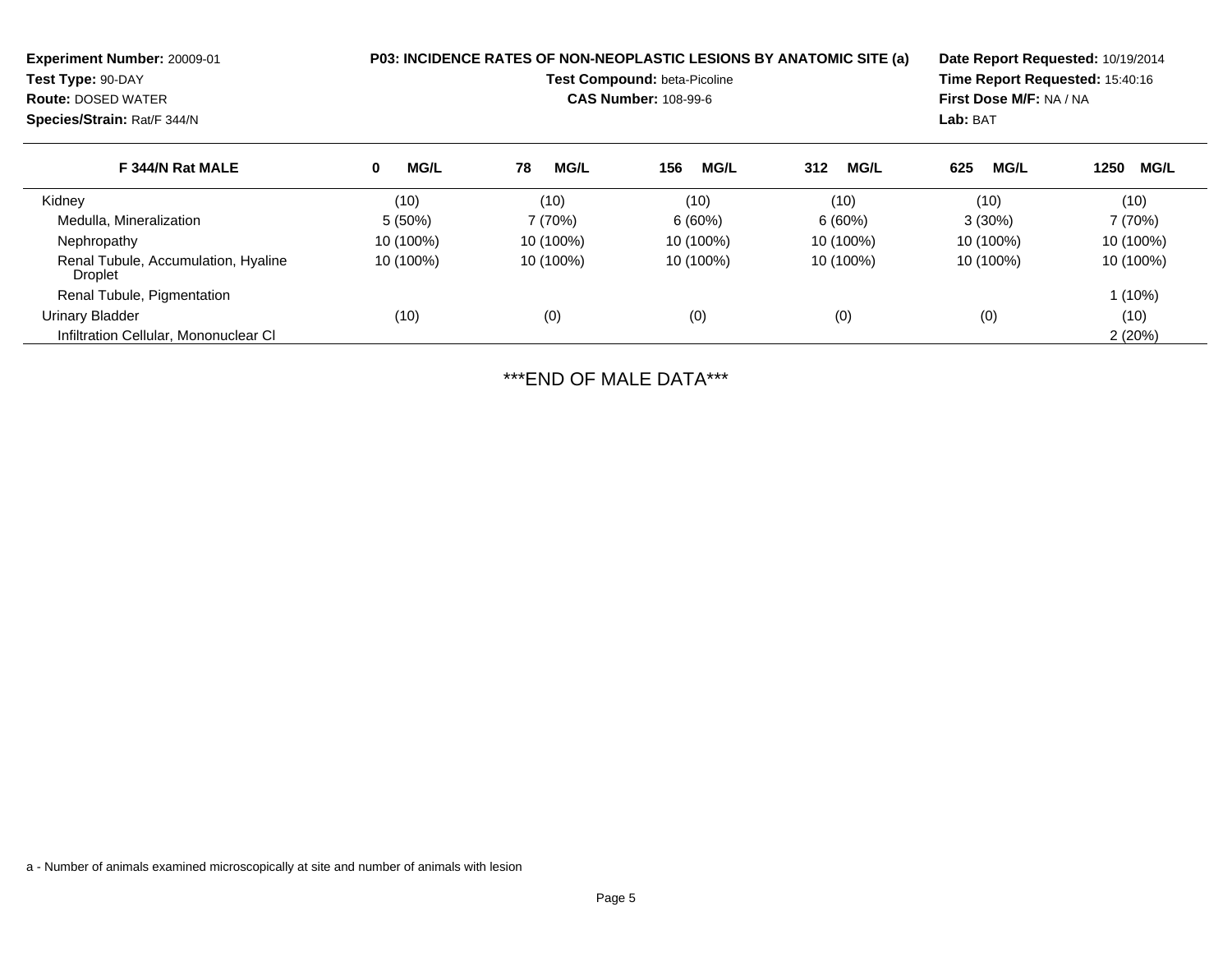| Experiment Number: 20009-01<br>Test Type: 90-DAY<br><b>Route: DOSED WATER</b><br>Species/Strain: Rat/F 344/N | <b>P03: INCIDENCE RATES OF NON-NEOPLASTIC LESIONS BY ANATOMIC SITE (a)</b><br><b>Test Compound: beta-Picoline</b><br><b>CAS Number: 108-99-6</b> |                   |                    |                    | Date Report Requested: 10/19/2014<br>Time Report Requested: 15:40:16<br>First Dose M/F: NA / NA<br>Lab: BAT |                     |
|--------------------------------------------------------------------------------------------------------------|--------------------------------------------------------------------------------------------------------------------------------------------------|-------------------|--------------------|--------------------|-------------------------------------------------------------------------------------------------------------|---------------------|
| F 344/N Rat MALE                                                                                             | <b>MG/L</b><br>0                                                                                                                                 | <b>MG/L</b><br>78 | <b>MG/L</b><br>156 | <b>MG/L</b><br>312 | 625<br><b>MG/L</b>                                                                                          | <b>MG/L</b><br>1250 |
| Kidney                                                                                                       | (10)                                                                                                                                             | (10)              | (10)               | (10)               | (10)                                                                                                        | (10)                |
| Medulla, Mineralization                                                                                      | $5(50\%)$                                                                                                                                        | 7 (70%)           | 6(60%)             | 6(60%)             | $3(30\%)$                                                                                                   | 7 (70%)             |
| Nephropathy                                                                                                  | 10 (100%)                                                                                                                                        | 10 (100%)         | 10 (100%)          | 10 (100%)          | 10 (100%)                                                                                                   | 10 (100%)           |
| Renal Tubule, Accumulation, Hyaline<br>Droplet                                                               | 10 (100%)                                                                                                                                        | 10 (100%)         | 10 (100%)          | 10 (100%)          | 10 (100%)                                                                                                   | 10 (100%)           |
| Renal Tubule, Pigmentation                                                                                   |                                                                                                                                                  |                   |                    |                    |                                                                                                             | $1(10\%)$           |
| Urinary Bladder                                                                                              | (10)                                                                                                                                             | (0)               | (0)                | (0)                | (0)                                                                                                         | (10)                |
| Infiltration Cellular, Mononuclear CI                                                                        |                                                                                                                                                  |                   |                    |                    |                                                                                                             | 2(20%)              |

\*\*\*END OF MALE DATA\*\*\*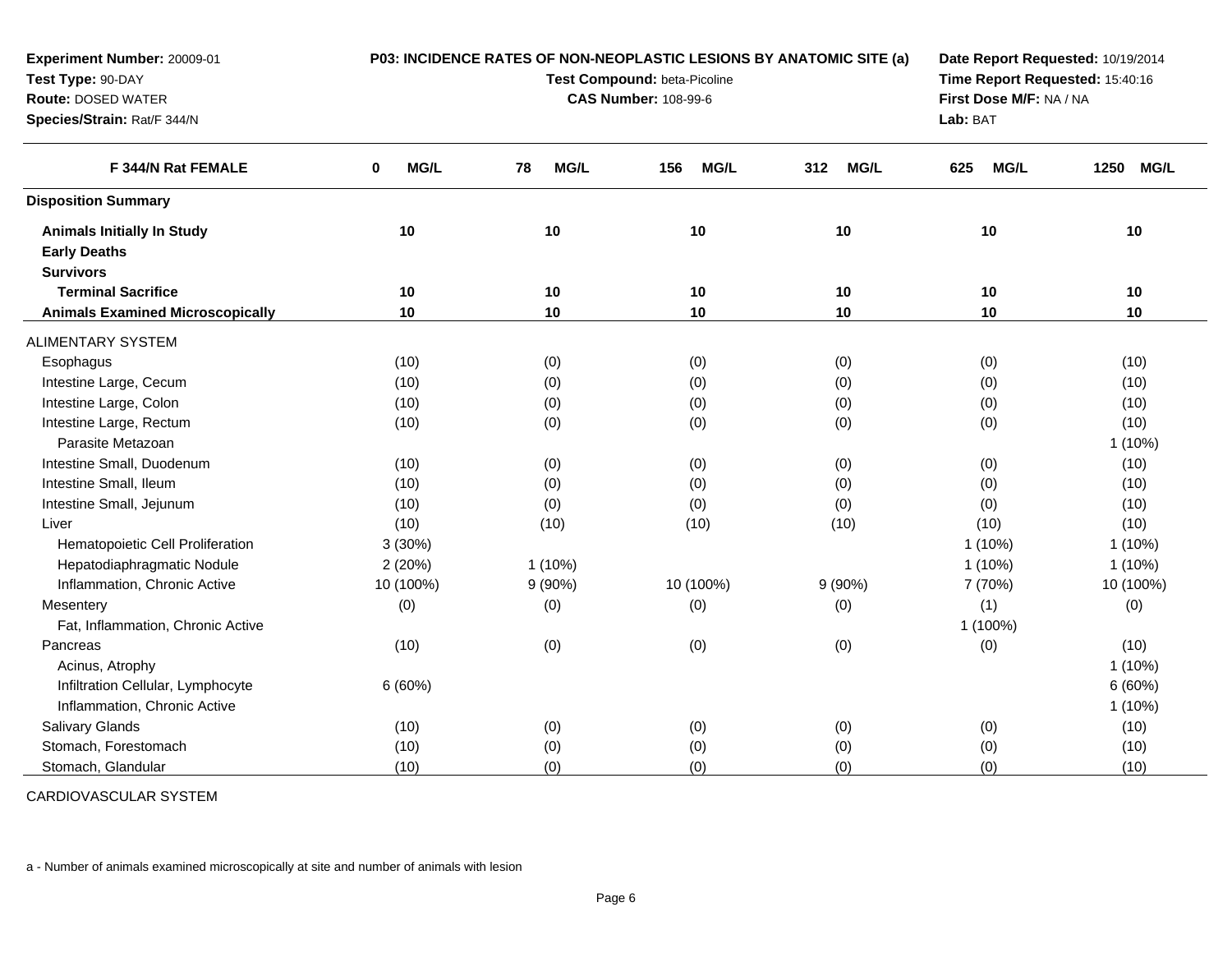| Experiment Number: 20009-01             | P03: INCIDENCE RATES OF NON-NEOPLASTIC LESIONS BY ANATOMIC SITE (a) |                                 |                             |                    |                         | Date Report Requested: 10/19/2014 |  |  |
|-----------------------------------------|---------------------------------------------------------------------|---------------------------------|-----------------------------|--------------------|-------------------------|-----------------------------------|--|--|
| Test Type: 90-DAY                       |                                                                     | Time Report Requested: 15:40:16 |                             |                    |                         |                                   |  |  |
| <b>Route: DOSED WATER</b>               |                                                                     |                                 | <b>CAS Number: 108-99-6</b> |                    | First Dose M/F: NA / NA |                                   |  |  |
| Species/Strain: Rat/F 344/N             |                                                                     |                                 |                             |                    | Lab: BAT                |                                   |  |  |
| F 344/N Rat FEMALE                      | MG/L<br>0                                                           | MG/L<br>78                      | MG/L<br>156                 | <b>MG/L</b><br>312 | MG/L<br>625             | <b>MG/L</b><br>1250               |  |  |
| <b>Disposition Summary</b>              |                                                                     |                                 |                             |                    |                         |                                   |  |  |
| <b>Animals Initially In Study</b>       | 10                                                                  | 10                              | 10                          | 10                 | 10                      | 10                                |  |  |
| <b>Early Deaths</b>                     |                                                                     |                                 |                             |                    |                         |                                   |  |  |
| <b>Survivors</b>                        |                                                                     |                                 |                             |                    |                         |                                   |  |  |
| <b>Terminal Sacrifice</b>               | 10                                                                  | 10                              | 10                          | 10                 | 10                      | 10                                |  |  |
| <b>Animals Examined Microscopically</b> | 10                                                                  | 10                              | 10                          | 10                 | 10 <sub>1</sub>         | 10                                |  |  |
| <b>ALIMENTARY SYSTEM</b>                |                                                                     |                                 |                             |                    |                         |                                   |  |  |
| Esophagus                               | (10)                                                                | (0)                             | (0)                         | (0)                | (0)                     | (10)                              |  |  |
| Intestine Large, Cecum                  | (10)                                                                | (0)                             | (0)                         | (0)                | (0)                     | (10)                              |  |  |
| Intestine Large, Colon                  | (10)                                                                | (0)                             | (0)                         | (0)                | (0)                     | (10)                              |  |  |
| Intestine Large, Rectum                 | (10)                                                                | (0)                             | (0)                         | (0)                | (0)                     | (10)                              |  |  |
| Parasite Metazoan                       |                                                                     |                                 |                             |                    |                         | 1 (10%)                           |  |  |
| Intestine Small, Duodenum               | (10)                                                                | (0)                             | (0)                         | (0)                | (0)                     | (10)                              |  |  |
| Intestine Small, Ileum                  | (10)                                                                | (0)                             | (0)                         | (0)                | (0)                     | (10)                              |  |  |
| Intestine Small, Jejunum                | (10)                                                                | (0)                             | (0)                         | (0)                | (0)                     | (10)                              |  |  |
| Liver                                   | (10)                                                                | (10)                            | (10)                        | (10)               | (10)                    | (10)                              |  |  |
| Hematopoietic Cell Proliferation        | 3(30%)                                                              |                                 |                             |                    | $1(10\%)$               | $1(10\%)$                         |  |  |
| Hepatodiaphragmatic Nodule              | 2(20%)                                                              | $1(10\%)$                       |                             |                    | $1(10\%)$               | $1(10\%)$                         |  |  |
| Inflammation, Chronic Active            | 10 (100%)                                                           | $9(90\%)$                       | 10 (100%)                   | $9(90\%)$          | 7 (70%)                 | 10 (100%)                         |  |  |
| Mesentery                               | (0)                                                                 | (0)                             | (0)                         | (0)                | (1)                     | (0)                               |  |  |
| Fat, Inflammation, Chronic Active       |                                                                     |                                 |                             |                    | 1 (100%)                |                                   |  |  |
| Pancreas                                | (10)                                                                | (0)                             | (0)                         | (0)                | (0)                     | (10)                              |  |  |
| Acinus, Atrophy                         |                                                                     |                                 |                             |                    |                         | $1(10\%)$                         |  |  |
| Infiltration Cellular, Lymphocyte       | 6(60%)                                                              |                                 |                             |                    |                         | 6(60%)                            |  |  |
| Inflammation, Chronic Active            |                                                                     |                                 |                             |                    |                         | 1 (10%)                           |  |  |
| Salivary Glands                         | (10)                                                                | (0)                             | (0)                         | (0)                | (0)                     | (10)                              |  |  |
| Stomach, Forestomach                    | (10)                                                                | (0)                             | (0)                         | (0)                | (0)                     | (10)                              |  |  |
| Stomach, Glandular                      | (10)                                                                | (0)                             | (0)                         | (0)                | (0)                     | (10)                              |  |  |

CARDIOVASCULAR SYSTEM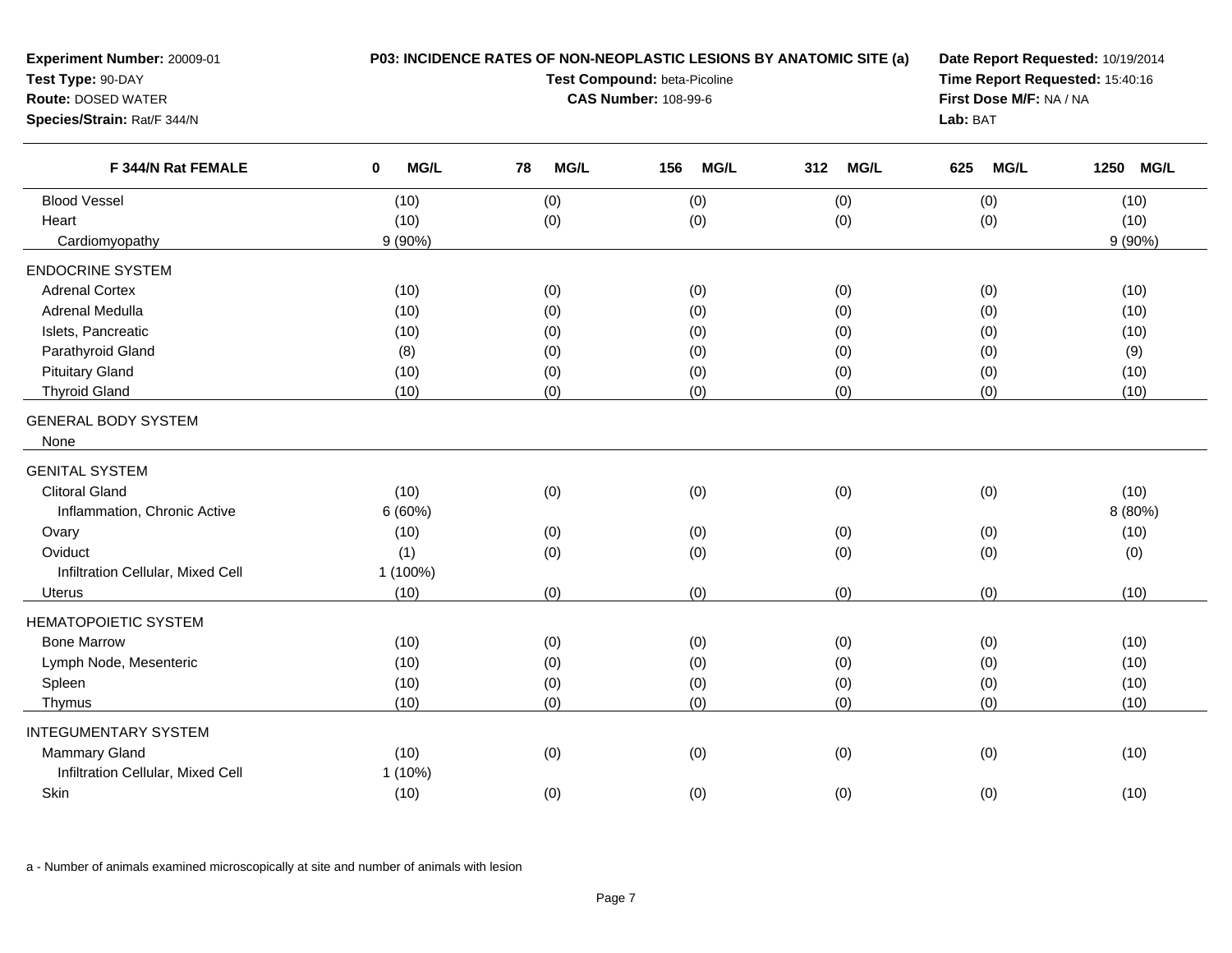| MG/L<br><b>MG/L</b><br><b>MG/L</b><br>F 344/N Rat FEMALE<br>78<br>MG/L<br>156<br>312<br><b>MG/L</b><br>625<br><b>MG/L</b><br>1250<br>0<br><b>Blood Vessel</b><br>(0)<br>(10)<br>(0)<br>(0)<br>(0)<br>(10)<br>(10)<br>(0)<br>(10)<br>Heart<br>(0)<br>(0)<br>(0)<br>Cardiomyopathy<br>$9(90\%)$<br>$9(90\%)$<br><b>ENDOCRINE SYSTEM</b><br><b>Adrenal Cortex</b><br>(10)<br>(0)<br>(0)<br>(0)<br>(0)<br>(10)<br>Adrenal Medulla<br>(10)<br>(0)<br>(0)<br>(0)<br>(0)<br>(10)<br>Islets, Pancreatic<br>(10)<br>(0)<br>(0)<br>(0)<br>(10)<br>(0)<br>Parathyroid Gland<br>(8)<br>(0)<br>(0)<br>(0)<br>(0)<br>(9)<br><b>Pituitary Gland</b><br>(0)<br>(0)<br>(0)<br>(0)<br>(10)<br>(10)<br><b>Thyroid Gland</b><br>(10)<br>(0)<br>(0)<br>(0)<br>(0)<br>(10)<br><b>GENERAL BODY SYSTEM</b><br>None<br><b>GENITAL SYSTEM</b><br><b>Clitoral Gland</b><br>(0)<br>(10)<br>(0)<br>(0)<br>(0)<br>(10)<br>Inflammation, Chronic Active<br>6(60%)<br>8 (80%)<br>Ovary<br>(10)<br>(0)<br>(0)<br>(0)<br>(0)<br>(10)<br>Oviduct<br>(1)<br>(0)<br>(0)<br>(0)<br>(0)<br>(0)<br>Infiltration Cellular, Mixed Cell<br>1 (100%)<br>(0)<br>(10)<br>(0)<br>(0)<br>(0)<br>(10)<br>Uterus<br><b>HEMATOPOIETIC SYSTEM</b><br><b>Bone Marrow</b><br>(0)<br>(0)<br>(10)<br>(0)<br>(0)<br>(10)<br>Lymph Node, Mesenteric<br>(0)<br>(0)<br>(0)<br>(0)<br>(10)<br>(10)<br>Spleen<br>(0)<br>(0)<br>(10)<br>(10)<br>(0)<br>(0)<br>(0)<br>(0)<br>(0)<br>(0)<br>(10)<br>(10)<br>Thymus<br><b>INTEGUMENTARY SYSTEM</b><br><b>Mammary Gland</b><br>(10)<br>(0)<br>(0)<br>(0)<br>(0)<br>(10)<br>Infiltration Cellular, Mixed Cell<br>1 (10%)<br>(0)<br>(0)<br>Skin<br>(10)<br>(0)<br>(0)<br>(10) | Experiment Number: 20009-01<br>Test Type: 90-DAY<br><b>Route: DOSED WATER</b><br>Species/Strain: Rat/F 344/N | P03: INCIDENCE RATES OF NON-NEOPLASTIC LESIONS BY ANATOMIC SITE (a)<br>Test Compound: beta-Picoline<br><b>CAS Number: 108-99-6</b> |  |  |  | Date Report Requested: 10/19/2014<br>Time Report Requested: 15:40:16<br>First Dose M/F: NA / NA<br>Lab: BAT |  |
|----------------------------------------------------------------------------------------------------------------------------------------------------------------------------------------------------------------------------------------------------------------------------------------------------------------------------------------------------------------------------------------------------------------------------------------------------------------------------------------------------------------------------------------------------------------------------------------------------------------------------------------------------------------------------------------------------------------------------------------------------------------------------------------------------------------------------------------------------------------------------------------------------------------------------------------------------------------------------------------------------------------------------------------------------------------------------------------------------------------------------------------------------------------------------------------------------------------------------------------------------------------------------------------------------------------------------------------------------------------------------------------------------------------------------------------------------------------------------------------------------------------------------------------------------------------------------------------------------------------------------------------------------------|--------------------------------------------------------------------------------------------------------------|------------------------------------------------------------------------------------------------------------------------------------|--|--|--|-------------------------------------------------------------------------------------------------------------|--|
|                                                                                                                                                                                                                                                                                                                                                                                                                                                                                                                                                                                                                                                                                                                                                                                                                                                                                                                                                                                                                                                                                                                                                                                                                                                                                                                                                                                                                                                                                                                                                                                                                                                          |                                                                                                              |                                                                                                                                    |  |  |  |                                                                                                             |  |
|                                                                                                                                                                                                                                                                                                                                                                                                                                                                                                                                                                                                                                                                                                                                                                                                                                                                                                                                                                                                                                                                                                                                                                                                                                                                                                                                                                                                                                                                                                                                                                                                                                                          |                                                                                                              |                                                                                                                                    |  |  |  |                                                                                                             |  |
|                                                                                                                                                                                                                                                                                                                                                                                                                                                                                                                                                                                                                                                                                                                                                                                                                                                                                                                                                                                                                                                                                                                                                                                                                                                                                                                                                                                                                                                                                                                                                                                                                                                          |                                                                                                              |                                                                                                                                    |  |  |  |                                                                                                             |  |
|                                                                                                                                                                                                                                                                                                                                                                                                                                                                                                                                                                                                                                                                                                                                                                                                                                                                                                                                                                                                                                                                                                                                                                                                                                                                                                                                                                                                                                                                                                                                                                                                                                                          |                                                                                                              |                                                                                                                                    |  |  |  |                                                                                                             |  |
|                                                                                                                                                                                                                                                                                                                                                                                                                                                                                                                                                                                                                                                                                                                                                                                                                                                                                                                                                                                                                                                                                                                                                                                                                                                                                                                                                                                                                                                                                                                                                                                                                                                          |                                                                                                              |                                                                                                                                    |  |  |  |                                                                                                             |  |
|                                                                                                                                                                                                                                                                                                                                                                                                                                                                                                                                                                                                                                                                                                                                                                                                                                                                                                                                                                                                                                                                                                                                                                                                                                                                                                                                                                                                                                                                                                                                                                                                                                                          |                                                                                                              |                                                                                                                                    |  |  |  |                                                                                                             |  |
|                                                                                                                                                                                                                                                                                                                                                                                                                                                                                                                                                                                                                                                                                                                                                                                                                                                                                                                                                                                                                                                                                                                                                                                                                                                                                                                                                                                                                                                                                                                                                                                                                                                          |                                                                                                              |                                                                                                                                    |  |  |  |                                                                                                             |  |
|                                                                                                                                                                                                                                                                                                                                                                                                                                                                                                                                                                                                                                                                                                                                                                                                                                                                                                                                                                                                                                                                                                                                                                                                                                                                                                                                                                                                                                                                                                                                                                                                                                                          |                                                                                                              |                                                                                                                                    |  |  |  |                                                                                                             |  |
|                                                                                                                                                                                                                                                                                                                                                                                                                                                                                                                                                                                                                                                                                                                                                                                                                                                                                                                                                                                                                                                                                                                                                                                                                                                                                                                                                                                                                                                                                                                                                                                                                                                          |                                                                                                              |                                                                                                                                    |  |  |  |                                                                                                             |  |
|                                                                                                                                                                                                                                                                                                                                                                                                                                                                                                                                                                                                                                                                                                                                                                                                                                                                                                                                                                                                                                                                                                                                                                                                                                                                                                                                                                                                                                                                                                                                                                                                                                                          |                                                                                                              |                                                                                                                                    |  |  |  |                                                                                                             |  |
|                                                                                                                                                                                                                                                                                                                                                                                                                                                                                                                                                                                                                                                                                                                                                                                                                                                                                                                                                                                                                                                                                                                                                                                                                                                                                                                                                                                                                                                                                                                                                                                                                                                          |                                                                                                              |                                                                                                                                    |  |  |  |                                                                                                             |  |
|                                                                                                                                                                                                                                                                                                                                                                                                                                                                                                                                                                                                                                                                                                                                                                                                                                                                                                                                                                                                                                                                                                                                                                                                                                                                                                                                                                                                                                                                                                                                                                                                                                                          |                                                                                                              |                                                                                                                                    |  |  |  |                                                                                                             |  |
|                                                                                                                                                                                                                                                                                                                                                                                                                                                                                                                                                                                                                                                                                                                                                                                                                                                                                                                                                                                                                                                                                                                                                                                                                                                                                                                                                                                                                                                                                                                                                                                                                                                          |                                                                                                              |                                                                                                                                    |  |  |  |                                                                                                             |  |
|                                                                                                                                                                                                                                                                                                                                                                                                                                                                                                                                                                                                                                                                                                                                                                                                                                                                                                                                                                                                                                                                                                                                                                                                                                                                                                                                                                                                                                                                                                                                                                                                                                                          |                                                                                                              |                                                                                                                                    |  |  |  |                                                                                                             |  |
|                                                                                                                                                                                                                                                                                                                                                                                                                                                                                                                                                                                                                                                                                                                                                                                                                                                                                                                                                                                                                                                                                                                                                                                                                                                                                                                                                                                                                                                                                                                                                                                                                                                          |                                                                                                              |                                                                                                                                    |  |  |  |                                                                                                             |  |
|                                                                                                                                                                                                                                                                                                                                                                                                                                                                                                                                                                                                                                                                                                                                                                                                                                                                                                                                                                                                                                                                                                                                                                                                                                                                                                                                                                                                                                                                                                                                                                                                                                                          |                                                                                                              |                                                                                                                                    |  |  |  |                                                                                                             |  |
|                                                                                                                                                                                                                                                                                                                                                                                                                                                                                                                                                                                                                                                                                                                                                                                                                                                                                                                                                                                                                                                                                                                                                                                                                                                                                                                                                                                                                                                                                                                                                                                                                                                          |                                                                                                              |                                                                                                                                    |  |  |  |                                                                                                             |  |
|                                                                                                                                                                                                                                                                                                                                                                                                                                                                                                                                                                                                                                                                                                                                                                                                                                                                                                                                                                                                                                                                                                                                                                                                                                                                                                                                                                                                                                                                                                                                                                                                                                                          |                                                                                                              |                                                                                                                                    |  |  |  |                                                                                                             |  |
|                                                                                                                                                                                                                                                                                                                                                                                                                                                                                                                                                                                                                                                                                                                                                                                                                                                                                                                                                                                                                                                                                                                                                                                                                                                                                                                                                                                                                                                                                                                                                                                                                                                          |                                                                                                              |                                                                                                                                    |  |  |  |                                                                                                             |  |
|                                                                                                                                                                                                                                                                                                                                                                                                                                                                                                                                                                                                                                                                                                                                                                                                                                                                                                                                                                                                                                                                                                                                                                                                                                                                                                                                                                                                                                                                                                                                                                                                                                                          |                                                                                                              |                                                                                                                                    |  |  |  |                                                                                                             |  |
|                                                                                                                                                                                                                                                                                                                                                                                                                                                                                                                                                                                                                                                                                                                                                                                                                                                                                                                                                                                                                                                                                                                                                                                                                                                                                                                                                                                                                                                                                                                                                                                                                                                          |                                                                                                              |                                                                                                                                    |  |  |  |                                                                                                             |  |
|                                                                                                                                                                                                                                                                                                                                                                                                                                                                                                                                                                                                                                                                                                                                                                                                                                                                                                                                                                                                                                                                                                                                                                                                                                                                                                                                                                                                                                                                                                                                                                                                                                                          |                                                                                                              |                                                                                                                                    |  |  |  |                                                                                                             |  |
|                                                                                                                                                                                                                                                                                                                                                                                                                                                                                                                                                                                                                                                                                                                                                                                                                                                                                                                                                                                                                                                                                                                                                                                                                                                                                                                                                                                                                                                                                                                                                                                                                                                          |                                                                                                              |                                                                                                                                    |  |  |  |                                                                                                             |  |
|                                                                                                                                                                                                                                                                                                                                                                                                                                                                                                                                                                                                                                                                                                                                                                                                                                                                                                                                                                                                                                                                                                                                                                                                                                                                                                                                                                                                                                                                                                                                                                                                                                                          |                                                                                                              |                                                                                                                                    |  |  |  |                                                                                                             |  |
|                                                                                                                                                                                                                                                                                                                                                                                                                                                                                                                                                                                                                                                                                                                                                                                                                                                                                                                                                                                                                                                                                                                                                                                                                                                                                                                                                                                                                                                                                                                                                                                                                                                          |                                                                                                              |                                                                                                                                    |  |  |  |                                                                                                             |  |
|                                                                                                                                                                                                                                                                                                                                                                                                                                                                                                                                                                                                                                                                                                                                                                                                                                                                                                                                                                                                                                                                                                                                                                                                                                                                                                                                                                                                                                                                                                                                                                                                                                                          |                                                                                                              |                                                                                                                                    |  |  |  |                                                                                                             |  |
|                                                                                                                                                                                                                                                                                                                                                                                                                                                                                                                                                                                                                                                                                                                                                                                                                                                                                                                                                                                                                                                                                                                                                                                                                                                                                                                                                                                                                                                                                                                                                                                                                                                          |                                                                                                              |                                                                                                                                    |  |  |  |                                                                                                             |  |
|                                                                                                                                                                                                                                                                                                                                                                                                                                                                                                                                                                                                                                                                                                                                                                                                                                                                                                                                                                                                                                                                                                                                                                                                                                                                                                                                                                                                                                                                                                                                                                                                                                                          |                                                                                                              |                                                                                                                                    |  |  |  |                                                                                                             |  |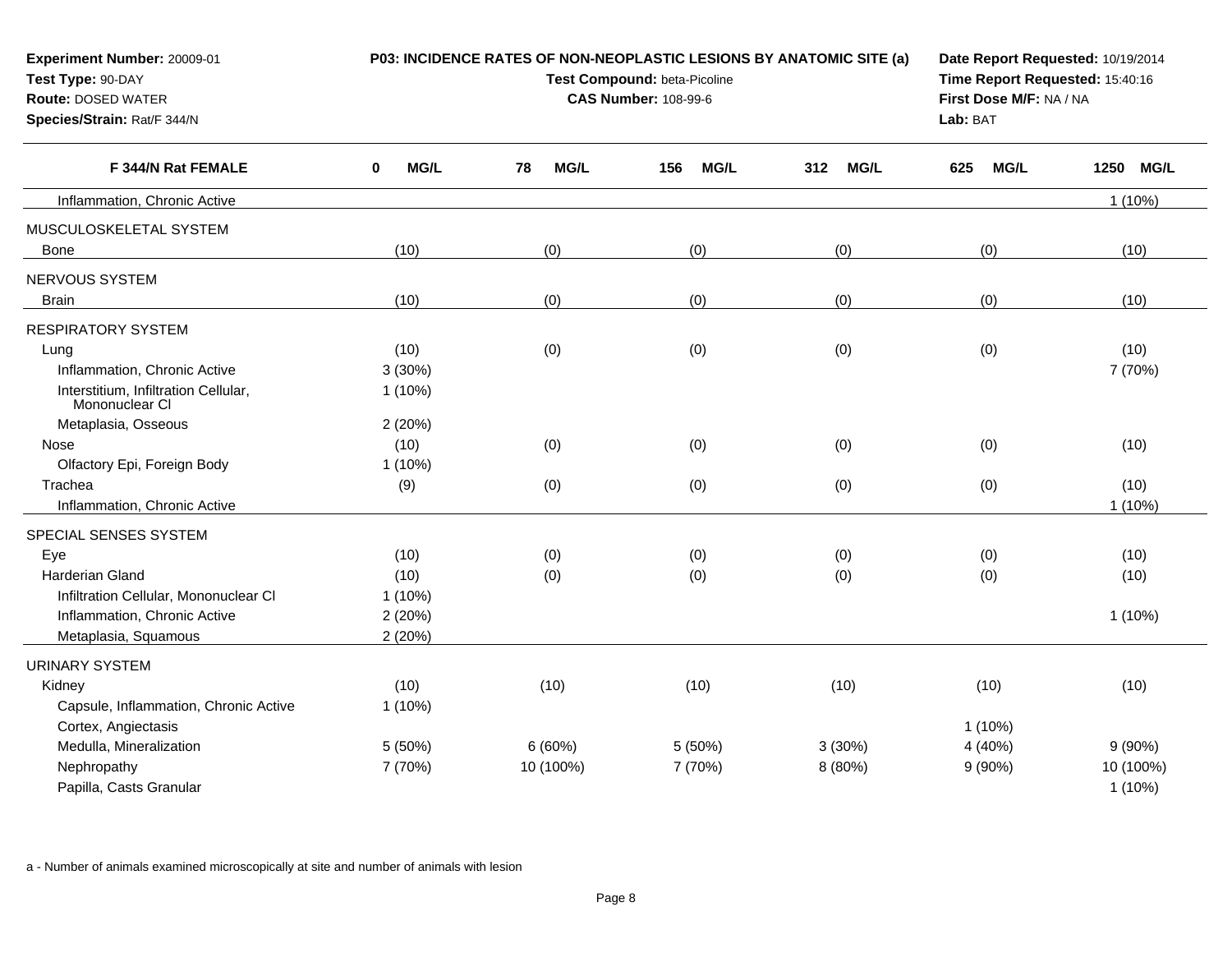| Experiment Number: 20009-01<br>Test Type: 90-DAY<br><b>Route: DOSED WATER</b><br>Species/Strain: Rat/F 344/N |                     | P03: INCIDENCE RATES OF NON-NEOPLASTIC LESIONS BY ANATOMIC SITE (a)<br>Test Compound: beta-Picoline<br><b>CAS Number: 108-99-6</b> | Date Report Requested: 10/19/2014<br>Time Report Requested: 15:40:16<br>First Dose M/F: NA / NA<br>Lab: BAT |                    |                    |                     |
|--------------------------------------------------------------------------------------------------------------|---------------------|------------------------------------------------------------------------------------------------------------------------------------|-------------------------------------------------------------------------------------------------------------|--------------------|--------------------|---------------------|
| F 344/N Rat FEMALE                                                                                           | $\mathbf 0$<br>MG/L | 78<br><b>MG/L</b>                                                                                                                  | <b>MG/L</b><br>156                                                                                          | 312<br><b>MG/L</b> | <b>MG/L</b><br>625 | 1250<br><b>MG/L</b> |
| Inflammation, Chronic Active                                                                                 |                     |                                                                                                                                    |                                                                                                             |                    |                    | $1(10\%)$           |
| MUSCULOSKELETAL SYSTEM                                                                                       |                     |                                                                                                                                    |                                                                                                             |                    |                    |                     |
| <b>Bone</b>                                                                                                  | (10)                | (0)                                                                                                                                | (0)                                                                                                         | (0)                | (0)                | (10)                |
| NERVOUS SYSTEM                                                                                               |                     |                                                                                                                                    |                                                                                                             |                    |                    |                     |
| <b>Brain</b>                                                                                                 | (10)                | (0)                                                                                                                                | (0)                                                                                                         | (0)                | (0)                | (10)                |
| <b>RESPIRATORY SYSTEM</b>                                                                                    |                     |                                                                                                                                    |                                                                                                             |                    |                    |                     |
| Lung                                                                                                         | (10)                | (0)                                                                                                                                | (0)                                                                                                         | (0)                | (0)                | (10)                |
| Inflammation, Chronic Active                                                                                 | 3(30%)              |                                                                                                                                    |                                                                                                             |                    |                    | 7 (70%)             |
| Interstitium, Infiltration Cellular,<br>Mononuclear CI                                                       | $1(10\%)$           |                                                                                                                                    |                                                                                                             |                    |                    |                     |
| Metaplasia, Osseous                                                                                          | 2(20%)              |                                                                                                                                    |                                                                                                             |                    |                    |                     |
| Nose                                                                                                         | (10)                | (0)                                                                                                                                | (0)                                                                                                         | (0)                | (0)                | (10)                |
| Olfactory Epi, Foreign Body                                                                                  | $1(10\%)$           |                                                                                                                                    |                                                                                                             |                    |                    |                     |
| Trachea                                                                                                      | (9)                 | (0)                                                                                                                                | (0)                                                                                                         | (0)                | (0)                | (10)                |
| Inflammation, Chronic Active                                                                                 |                     |                                                                                                                                    |                                                                                                             |                    |                    | $1(10\%)$           |
| SPECIAL SENSES SYSTEM                                                                                        |                     |                                                                                                                                    |                                                                                                             |                    |                    |                     |
| Eye                                                                                                          | (10)                | (0)                                                                                                                                | (0)                                                                                                         | (0)                | (0)                | (10)                |
| <b>Harderian Gland</b>                                                                                       | (10)                | (0)                                                                                                                                | (0)                                                                                                         | (0)                | (0)                | (10)                |
| Infiltration Cellular, Mononuclear CI                                                                        | $1(10\%)$           |                                                                                                                                    |                                                                                                             |                    |                    |                     |
| Inflammation, Chronic Active                                                                                 | 2(20%)              |                                                                                                                                    |                                                                                                             |                    |                    | $1(10\%)$           |
| Metaplasia, Squamous                                                                                         | 2(20%)              |                                                                                                                                    |                                                                                                             |                    |                    |                     |
| <b>URINARY SYSTEM</b>                                                                                        |                     |                                                                                                                                    |                                                                                                             |                    |                    |                     |
| Kidney                                                                                                       | (10)                | (10)                                                                                                                               | (10)                                                                                                        | (10)               | (10)               | (10)                |
| Capsule, Inflammation, Chronic Active                                                                        | $1(10\%)$           |                                                                                                                                    |                                                                                                             |                    |                    |                     |
| Cortex, Angiectasis                                                                                          |                     |                                                                                                                                    |                                                                                                             |                    | $1(10\%)$          |                     |
| Medulla, Mineralization                                                                                      | 5(50%)              | 6(60%)                                                                                                                             | 5 (50%)                                                                                                     | 3(30%)             | 4 (40%)            | $9(90\%)$           |
| Nephropathy                                                                                                  | 7 (70%)             | 10 (100%)                                                                                                                          | 7 (70%)                                                                                                     | 8 (80%)            | $9(90\%)$          | 10 (100%)           |
| Papilla, Casts Granular                                                                                      |                     |                                                                                                                                    |                                                                                                             |                    |                    | $1(10\%)$           |